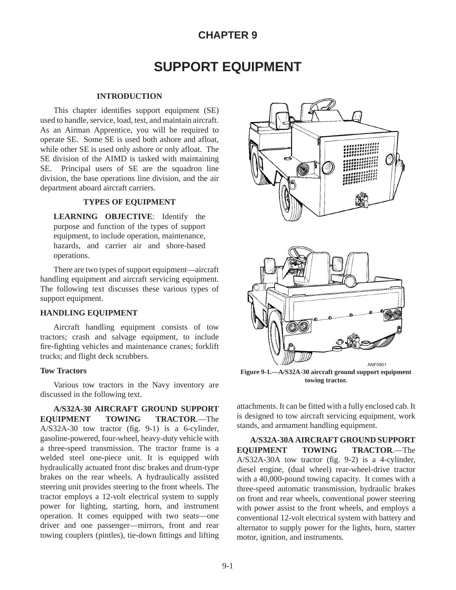## **CHAPTER 9**

# **SUPPORT EQUIPMENT**

### **INTRODUCTION**

This chapter identifies support equipment (SE) used to handle, service, load, test, and maintain aircraft. As an Airman Apprentice, you will be required to operate SE. Some SE is used both ashore and afloat, while other SE is used only ashore or only afloat. The SE division of the AIMD is tasked with maintaining SE. Principal users of SE are the squadron line division, the base operations line division, and the air department aboard aircraft carriers.

## **TYPES OF EQUIPMENT**

**LEARNING OBJECTIVE**: Identify the purpose and function of the types of support equipment, to include operation, maintenance, hazards, and carrier air and shore-based operations.

There are two types of support equipment—aircraft handling equipment and aircraft servicing equipment. The following text discusses these various types of support equipment.

## **HANDLING EQUIPMENT**

Aircraft handling equipment consists of tow tractors; crash and salvage equipment, to include fire-fighting vehicles and maintenance cranes; forklift trucks; and flight deck scrubbers.

#### **Tow Tractors**

Various tow tractors in the Navy inventory are discussed in the following text.

**A/S32A-30 AIRCRAFT GROUND SUPPORT EQUIPMENT TOWING TRACTOR**.—The A/S32A-30 tow tractor (fig. 9-1) is a 6-cylinder, gasoline-powered, four-wheel, heavy-duty vehicle with a three-speed transmission. The tractor frame is a welded steel one-piece unit. It is equipped with hydraulically actuated front disc brakes and drum-type brakes on the rear wheels. A hydraulically assisted steering unit provides steering to the front wheels. The tractor employs a 12-volt electrical system to supply power for lighting, starting, horn, and instrument operation. It comes equipped with two seats—one driver and one passenger—mirrors, front and rear towing couplers (pintles), tie-down fittings and lifting



**Figure 9-1.—A/S32A-30 aircraft ground support equipment towing tractor.**

attachments. It can be fitted with a fully enclosed cab. It is designed to tow aircraft servicing equipment, work stands, and armament handling equipment.

**A/S32A-30A AIRCRAFT GROUND SUPPORT EQUIPMENT TOWING TRACTOR**.—The A/S32A-30A tow tractor (fig. 9-2) is a 4-cylinder, diesel engine, (dual wheel) rear-wheel-drive tractor with a 40,000-pound towing capacity. It comes with a three-speed automatic transmission, hydraulic brakes on front and rear wheels, conventional power steering with power assist to the front wheels, and employs a conventional 12-volt electrical system with battery and alternator to supply power for the lights, horn, starter motor, ignition, and instruments.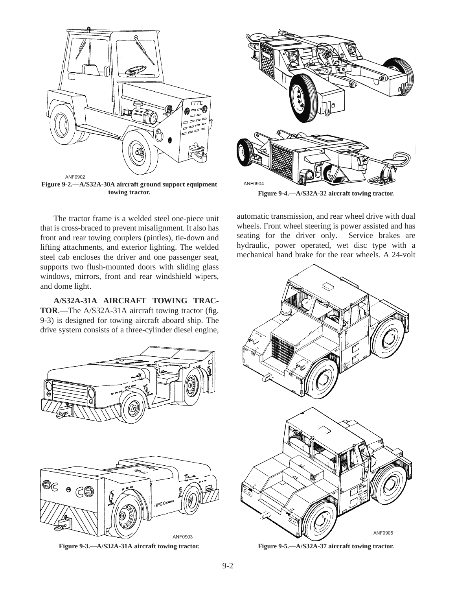

The tractor frame is a welded steel one-piece unit that is cross-braced to prevent misalignment. It also has front and rear towing couplers (pintles), tie-down and lifting attachments, and exterior lighting. The welded steel cab encloses the driver and one passenger seat, supports two flush-mounted doors with sliding glass windows, mirrors, front and rear windshield wipers, and dome light.

**A/S32A-31A AIRCRAFT TOWING TRAC-TOR**.—The A/S32A-31A aircraft towing tractor (fig. 9-3) is designed for towing aircraft aboard ship. The drive system consists of a three-cylinder diesel engine,



**Figure 9-3.—A/S32A-31A aircraft towing tractor.**



**Figure 9-4.—A/S32A-32 aircraft towing tractor.**

automatic transmission, and rear wheel drive with dual wheels. Front wheel steering is power assisted and has seating for the driver only. Service brakes are hydraulic, power operated, wet disc type with a mechanical hand brake for the rear wheels. A 24-volt



**Figure 9-5.—A/S32A-37 aircraft towing tractor.**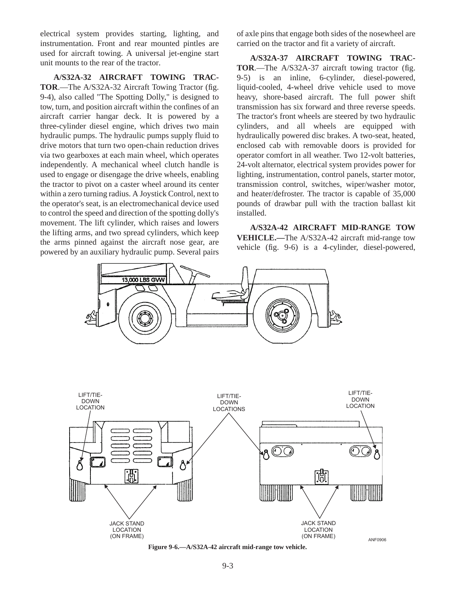electrical system provides starting, lighting, and instrumentation. Front and rear mounted pintles are used for aircraft towing. A universal jet-engine start unit mounts to the rear of the tractor.

**A/S32A-32 AIRCRAFT TOWING TRAC-TOR**.—The A/S32A-32 Aircraft Towing Tractor (fig. 9-4), also called "The Spotting Dolly," is designed to tow, turn, and position aircraft within the confines of an aircraft carrier hangar deck. It is powered by a three-cylinder diesel engine, which drives two main hydraulic pumps. The hydraulic pumps supply fluid to drive motors that turn two open-chain reduction drives via two gearboxes at each main wheel, which operates independently. A mechanical wheel clutch handle is used to engage or disengage the drive wheels, enabling the tractor to pivot on a caster wheel around its center within a zero turning radius. A Joystick Control, next to the operator's seat, is an electromechanical device used to control the speed and direction of the spotting dolly's movement. The lift cylinder, which raises and lowers the lifting arms, and two spread cylinders, which keep the arms pinned against the aircraft nose gear, are powered by an auxiliary hydraulic pump. Several pairs of axle pins that engage both sides of the nosewheel are carried on the tractor and fit a variety of aircraft.

**A/S32A-37 AIRCRAFT TOWING TRAC-TOR**.—The A/S32A-37 aircraft towing tractor (fig. 9-5) is an inline, 6-cylinder, diesel-powered, liquid-cooled, 4-wheel drive vehicle used to move heavy, shore-based aircraft. The full power shift transmission has six forward and three reverse speeds. The tractor's front wheels are steered by two hydraulic cylinders, and all wheels are equipped with hydraulically powered disc brakes. A two-seat, heated, enclosed cab with removable doors is provided for operator comfort in all weather. Two 12-volt batteries, 24-volt alternator, electrical system provides power for lighting, instrumentation, control panels, starter motor, transmission control, switches, wiper/washer motor, and heater/defroster. The tractor is capable of 35,000 pounds of drawbar pull with the traction ballast kit installed.

**A/S32A-42 AIRCRAFT MID-RANGE TOW VEHICLE.—**The A/S32A-42 aircraft mid-range tow vehicle (fig. 9-6) is a 4-cylinder, diesel-powered,



**Figure 9-6.—A/S32A-42 aircraft mid-range tow vehicle.**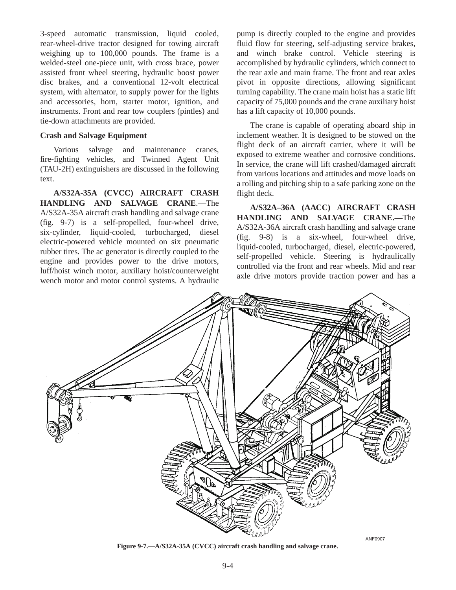3-speed automatic transmission, liquid cooled, rear-wheel-drive tractor designed for towing aircraft weighing up to 100,000 pounds. The frame is a welded-steel one-piece unit, with cross brace, power assisted front wheel steering, hydraulic boost power disc brakes, and a conventional 12-volt electrical system, with alternator, to supply power for the lights and accessories, horn, starter motor, ignition, and instruments. Front and rear tow couplers (pintles) and tie-down attachments are provided.

## **Crash and Salvage Equipment**

Various salvage and maintenance cranes, fire-fighting vehicles, and Twinned Agent Unit (TAU-2H) extinguishers are discussed in the following text.

**A/S32A-35A (CVCC) AIRCRAFT CRASH HANDLING AND SALVAGE CRANE**.—The A/S32A-35A aircraft crash handling and salvage crane (fig. 9-7) is a self-propelled, four-wheel drive, six-cylinder, liquid-cooled, turbocharged, diesel electric-powered vehicle mounted on six pneumatic rubber tires. The ac generator is directly coupled to the engine and provides power to the drive motors, luff/hoist winch motor, auxiliary hoist/counterweight wench motor and motor control systems. A hydraulic

pump is directly coupled to the engine and provides fluid flow for steering, self-adjusting service brakes, and winch brake control. Vehicle steering is accomplished by hydraulic cylinders, which connect to the rear axle and main frame. The front and rear axles pivot in opposite directions, allowing significant turning capability. The crane main hoist has a static lift capacity of 75,000 pounds and the crane auxiliary hoist has a lift capacity of 10,000 pounds.

The crane is capable of operating aboard ship in inclement weather. It is designed to be stowed on the flight deck of an aircraft carrier, where it will be exposed to extreme weather and corrosive conditions. In service, the crane will lift crashed/damaged aircraft from various locations and attitudes and move loads on a rolling and pitching ship to a safe parking zone on the flight deck.

**A/S32A–36A (AACC) AIRCRAFT CRASH HANDLING AND SALVAGE CRANE.—**The A/S32A-36A aircraft crash handling and salvage crane (fig. 9-8) is a six-wheel, four-wheel drive, liquid-cooled, turbocharged, diesel, electric-powered, self-propelled vehicle. Steering is hydraulically controlled via the front and rear wheels. Mid and rear axle drive motors provide traction power and has a



**Figure 9-7.—A/S32A-35A (CVCC) aircraft crash handling and salvage crane.**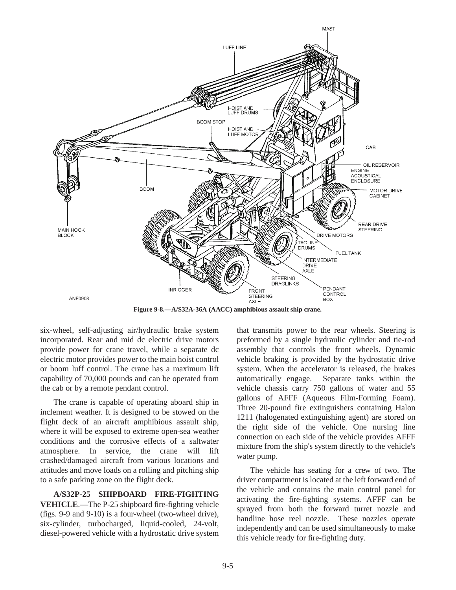

**Figure 9-8.—A/S32A-36A (AACC) amphibious assault ship crane.**

six-wheel, self-adjusting air/hydraulic brake system incorporated. Rear and mid dc electric drive motors provide power for crane travel, while a separate dc electric motor provides power to the main hoist control or boom luff control. The crane has a maximum lift capability of 70,000 pounds and can be operated from the cab or by a remote pendant control.

The crane is capable of operating aboard ship in inclement weather. It is designed to be stowed on the flight deck of an aircraft amphibious assault ship, where it will be exposed to extreme open-sea weather conditions and the corrosive effects of a saltwater atmosphere. In service, the crane will lift crashed/damaged aircraft from various locations and attitudes and move loads on a rolling and pitching ship to a safe parking zone on the flight deck.

**A/S32P-25 SHIPBOARD FIRE-FIGHTING VEHICLE**.—The P-25 shipboard fire-fighting vehicle (figs. 9-9 and 9-10) is a four-wheel (two-wheel drive), six-cylinder, turbocharged, liquid-cooled, 24-volt, diesel-powered vehicle with a hydrostatic drive system

that transmits power to the rear wheels. Steering is preformed by a single hydraulic cylinder and tie-rod assembly that controls the front wheels. Dynamic vehicle braking is provided by the hydrostatic drive system. When the accelerator is released, the brakes automatically engage. Separate tanks within the vehicle chassis carry 750 gallons of water and 55 gallons of AFFF (Aqueous Film-Forming Foam). Three 20-pound fire extinguishers containing Halon 1211 (halogenated extinguishing agent) are stored on the right side of the vehicle. One nursing line connection on each side of the vehicle provides AFFF mixture from the ship's system directly to the vehicle's water pump.

The vehicle has seating for a crew of two. The driver compartment is located at the left forward end of the vehicle and contains the main control panel for activating the fire-fighting systems. AFFF can be sprayed from both the forward turret nozzle and handline hose reel nozzle. These nozzles operate independently and can be used simultaneously to make this vehicle ready for fire-fighting duty.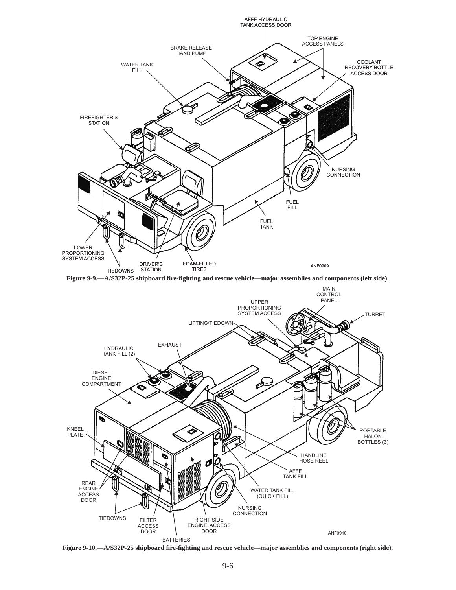





**Figure 9-10.—A/S32P-25 shipboard fire-fighting and rescue vehicle—major assemblies and components (right side).**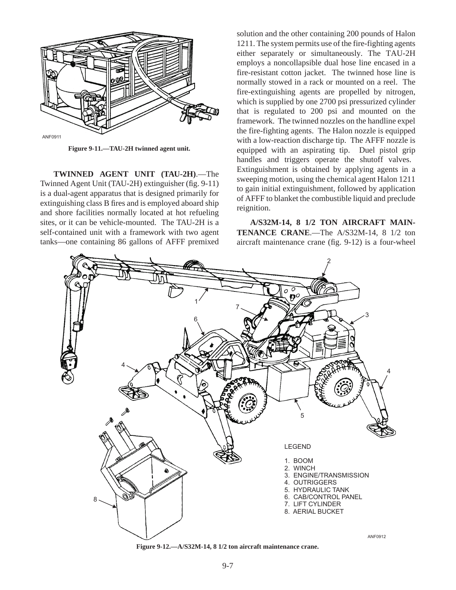

**Figure 9-11.—TAU-2H twinned agent unit.**

**TWINNED AGENT UNIT (TAU-2H)**.—The Twinned Agent Unit (TAU-2H) extinguisher (fig. 9-11) is a dual-agent apparatus that is designed primarily for extinguishing class B fires and is employed aboard ship and shore facilities normally located at hot refueling sites, or it can be vehicle-mounted. The TAU-2H is a self-contained unit with a framework with two agent tanks—one containing 86 gallons of AFFF premixed solution and the other containing 200 pounds of Halon 1211. The system permits use of the fire-fighting agents either separately or simultaneously. The TAU-2H employs a noncollapsible dual hose line encased in a fire-resistant cotton jacket. The twinned hose line is normally stowed in a rack or mounted on a reel. The fire-extinguishing agents are propelled by nitrogen, which is supplied by one 2700 psi pressurized cylinder that is regulated to 200 psi and mounted on the framework. The twinned nozzles on the handline expel the fire-fighting agents. The Halon nozzle is equipped with a low-reaction discharge tip. The AFFF nozzle is equipped with an aspirating tip. Duel pistol grip handles and triggers operate the shutoff valves. Extinguishment is obtained by applying agents in a sweeping motion, using the chemical agent Halon 1211 to gain initial extinguishment, followed by application of AFFF to blanket the combustible liquid and preclude reignition.

**A/S32M-14, 8 1/2 TON AIRCRAFT MAIN-TENANCE CRANE**.—The A/S32M-14, 8 1/2 ton aircraft maintenance crane (fig. 9-12) is a four-wheel



**Figure 9-12.—A/S32M-14, 8 1/2 ton aircraft maintenance crane.**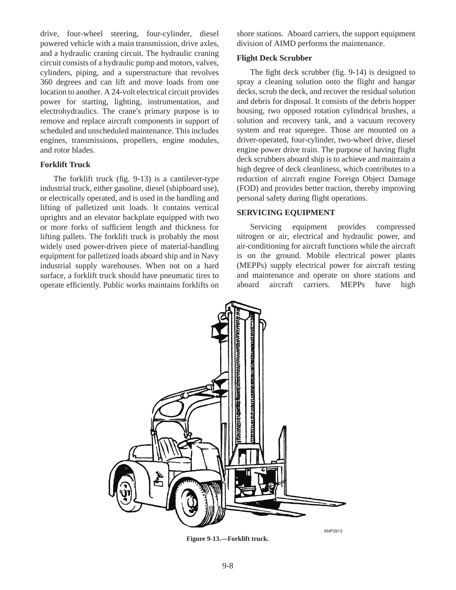drive, four-wheel steering, four-cylinder, diesel powered vehicle with a main transmission, drive axles, and a hydraulic craning circuit. The hydraulic craning circuit consists of a hydraulic pump and motors, valves, cylinders, piping, and a superstructure that revolves 360 degrees and can lift and move loads from one location to another. A 24-volt electrical circuit provides power for starting, lighting, instrumentation, and electrohydraulics. The crane's primary purpose is to remove and replace aircraft components in support of scheduled and unscheduled maintenance. This includes engines, transmissions, propellers, engine modules, and rotor blades.

## **Forklift Truck**

The forklift truck (fig. 9-13) is a cantilever-type industrial truck, either gasoline, diesel (shipboard use), or electrically operated, and is used in the handling and lifting of palletized unit loads. It contains vertical uprights and an elevator backplate equipped with two or more forks of sufficient length and thickness for lifting pallets. The forklift truck is probably the most widely used power-driven piece of material-handling equipment for palletized loads aboard ship and in Navy industrial supply warehouses. When not on a hard surface, a forklift truck should have pneumatic tires to operate efficiently. Public works maintains forklifts on

shore stations. Aboard carriers, the support equipment division of AIMD performs the maintenance.

## **Flight Deck Scrubber**

The fight deck scrubber (fig. 9-14) is designed to spray a cleaning solution onto the flight and hangar decks, scrub the deck, and recover the residual solution and debris for disposal. It consists of the debris hopper housing, two opposed rotation cylindrical brushes, a solution and recovery tank, and a vacuum recovery system and rear squeegee. Those are mounted on a driver-operated, four-cylinder, two-wheel drive, diesel engine power drive train. The purpose of having flight deck scrubbers aboard ship is to achieve and maintain a high degree of deck cleanliness, which contributes to a reduction of aircraft engine Foreign Object Damage (FOD) and provides better traction, thereby improving personal safety during flight operations.

## **SERVICING EQUIPMENT**

Servicing equipment provides compressed nitrogen or air, electrical and hydraulic power, and air-conditioning for aircraft functions while the aircraft is on the ground. Mobile electrical power plants (MEPPs) supply electrical power for aircraft testing and maintenance and operate on shore stations and aboard aircraft carriers. MEPPs have high



**Figure 9-13.—Forklift truck.**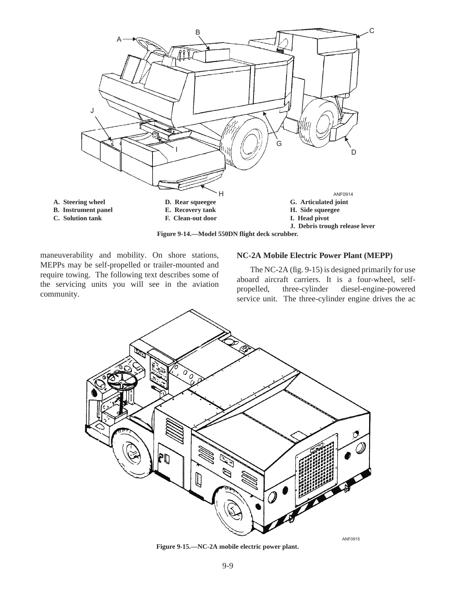

**Figure 9-14.—Model 550DN flight deck scrubber.**

maneuverability and mobility. On shore stations, MEPPs may be self-propelled or trailer-mounted and require towing. The following text describes some of the servicing units you will see in the aviation community.

#### **NC-2A Mobile Electric Power Plant (MEPP)**

The NC-2A (fig. 9-15) is designed primarily for use aboard aircraft carriers. It is a four-wheel, selfpropelled, three-cylinder diesel-engine-powered service unit. The three-cylinder engine drives the ac



**Figure 9-15.—NC-2A mobile electric power plant.**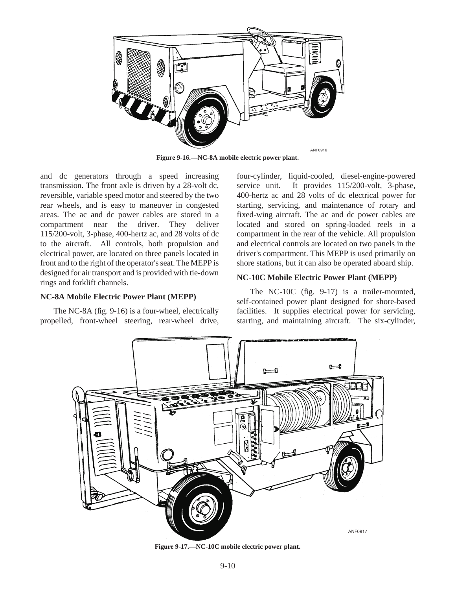

**Figure 9-16.—NC-8A mobile electric power plant.**

and dc generators through a speed increasing transmission. The front axle is driven by a 28-volt dc, reversible, variable speed motor and steered by the two rear wheels, and is easy to maneuver in congested areas. The ac and dc power cables are stored in a compartment near the driver. They deliver 115/200-volt, 3-phase, 400-hertz ac, and 28 volts of dc to the aircraft. All controls, both propulsion and electrical power, are located on three panels located in front and to the right of the operator's seat. The MEPP is designed for air transport and is provided with tie-down rings and forklift channels.

#### **NC-8A Mobile Electric Power Plant (MEPP)**

The NC-8A (fig. 9-16) is a four-wheel, electrically propelled, front-wheel steering, rear-wheel drive, four-cylinder, liquid-cooled, diesel-engine-powered service unit. It provides 115/200-volt, 3-phase, 400-hertz ac and 28 volts of dc electrical power for starting, servicing, and maintenance of rotary and fixed-wing aircraft. The ac and dc power cables are located and stored on spring-loaded reels in a compartment in the rear of the vehicle. All propulsion and electrical controls are located on two panels in the driver's compartment. This MEPP is used primarily on shore stations, but it can also be operated aboard ship.

#### **NC-10C Mobile Electric Power Plant (MEPP)**

The NC-10C (fig. 9-17) is a trailer-mounted, self-contained power plant designed for shore-based facilities. It supplies electrical power for servicing, starting, and maintaining aircraft. The six-cylinder,



**Figure 9-17.—NC-10C mobile electric power plant.**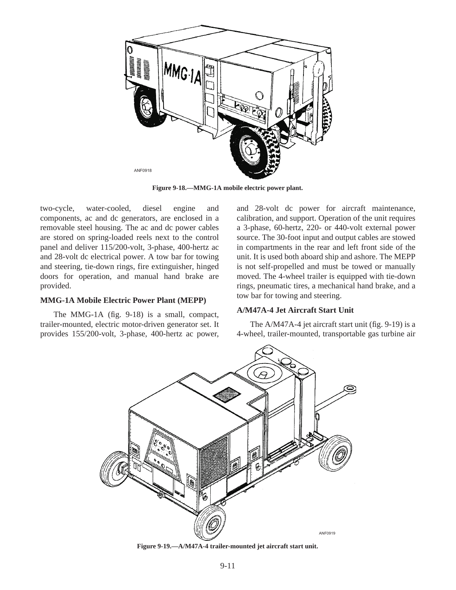

**Figure 9-18.—MMG-1A mobile electric power plant.**

two-cycle, water-cooled, diesel engine and components, ac and dc generators, are enclosed in a removable steel housing. The ac and dc power cables are stored on spring-loaded reels next to the control panel and deliver 115/200-volt, 3-phase, 400-hertz ac and 28-volt dc electrical power. A tow bar for towing and steering, tie-down rings, fire extinguisher, hinged doors for operation, and manual hand brake are provided.

#### **MMG-1A Mobile Electric Power Plant (MEPP)**

The MMG-1A (fig. 9-18) is a small, compact, trailer-mounted, electric motor-driven generator set. It provides 155/200-volt, 3-phase, 400-hertz ac power,

and 28-volt dc power for aircraft maintenance, calibration, and support. Operation of the unit requires a 3-phase, 60-hertz, 220- or 440-volt external power source. The 30-foot input and output cables are stowed in compartments in the rear and left front side of the unit. It is used both aboard ship and ashore. The MEPP is not self-propelled and must be towed or manually moved. The 4-wheel trailer is equipped with tie-down rings, pneumatic tires, a mechanical hand brake, and a tow bar for towing and steering.

#### **A/M47A-4 Jet Aircraft Start Unit**

The A/M47A-4 jet aircraft start unit (fig. 9-19) is a 4-wheel, trailer-mounted, transportable gas turbine air



**Figure 9-19.—A/M47A-4 trailer-mounted jet aircraft start unit.**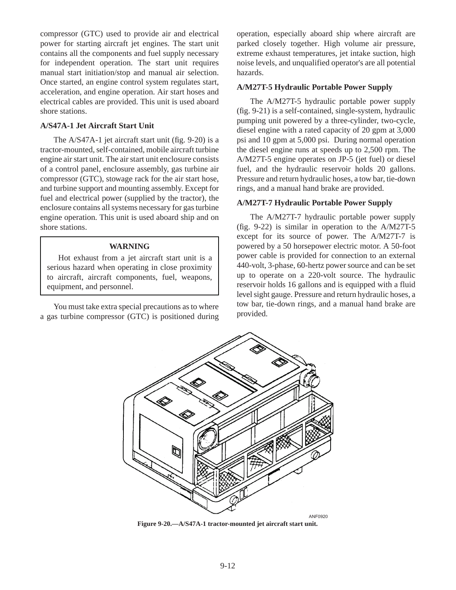compressor (GTC) used to provide air and electrical power for starting aircraft jet engines. The start unit contains all the components and fuel supply necessary for independent operation. The start unit requires manual start initiation/stop and manual air selection. Once started, an engine control system regulates start, acceleration, and engine operation. Air start hoses and electrical cables are provided. This unit is used aboard shore stations.

#### **A/S47A-1 Jet Aircraft Start Unit**

The A/S47A-1 jet aircraft start unit (fig. 9-20) is a tractor-mounted, self-contained, mobile aircraft turbine engine air start unit. The air start unit enclosure consists of a control panel, enclosure assembly, gas turbine air compressor (GTC), stowage rack for the air start hose, and turbine support and mounting assembly. Except for fuel and electrical power (supplied by the tractor), the enclosure contains all systems necessary for gas turbine engine operation. This unit is used aboard ship and on shore stations.

## **WARNING**

Hot exhaust from a jet aircraft start unit is a serious hazard when operating in close proximity to aircraft, aircraft components, fuel, weapons, equipment, and personnel.

You must take extra special precautions as to where a gas turbine compressor (GTC) is positioned during

operation, especially aboard ship where aircraft are parked closely together. High volume air pressure, extreme exhaust temperatures, jet intake suction, high noise levels, and unqualified operator's are all potential hazards.

## **A/M27T-5 Hydraulic Portable Power Supply**

The A/M27T-5 hydraulic portable power supply (fig. 9-21) is a self-contained, single-system, hydraulic pumping unit powered by a three-cylinder, two-cycle, diesel engine with a rated capacity of 20 gpm at 3,000 psi and 10 gpm at 5,000 psi. During normal operation the diesel engine runs at speeds up to 2,500 rpm. The A/M27T-5 engine operates on JP-5 (jet fuel) or diesel fuel, and the hydraulic reservoir holds 20 gallons. Pressure and return hydraulic hoses, a tow bar, tie-down rings, and a manual hand brake are provided.

#### **A/M27T-7 Hydraulic Portable Power Supply**

The A/M27T-7 hydraulic portable power supply (fig. 9-22) is similar in operation to the A/M27T-5 except for its source of power. The A/M27T-7 is powered by a 50 horsepower electric motor. A 50-foot power cable is provided for connection to an external 440-volt, 3-phase, 60-hertz power source and can be set up to operate on a 220-volt source. The hydraulic reservoir holds 16 gallons and is equipped with a fluid level sight gauge. Pressure and return hydraulic hoses, a tow bar, tie-down rings, and a manual hand brake are provided.



**Figure 9-20.—A/S47A-1 tractor-mounted jet aircraft start unit.**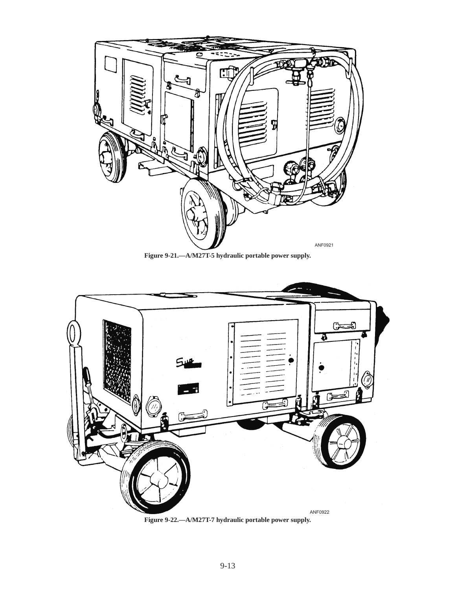

**Figure 9-21.—A/M27T-5 hydraulic portable power supply.**



**Figure 9-22.—A/M27T-7 hydraulic portable power supply.**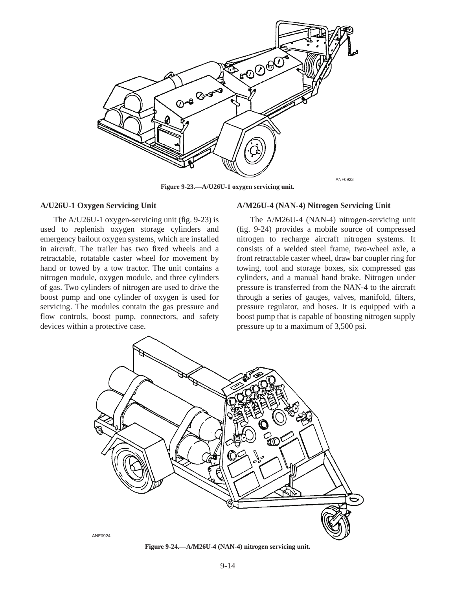

**Figure 9-23.—A/U26U-1 oxygen servicing unit.**

#### **A/U26U-1 Oxygen Servicing Unit**

The A/U26U-1 oxygen-servicing unit (fig. 9-23) is used to replenish oxygen storage cylinders and emergency bailout oxygen systems, which are installed in aircraft. The trailer has two fixed wheels and a retractable, rotatable caster wheel for movement by hand or towed by a tow tractor. The unit contains a nitrogen module, oxygen module, and three cylinders of gas. Two cylinders of nitrogen are used to drive the boost pump and one cylinder of oxygen is used for servicing. The modules contain the gas pressure and flow controls, boost pump, connectors, and safety devices within a protective case.

#### **A/M26U-4 (NAN-4) Nitrogen Servicing Unit**

The A/M26U-4 (NAN-4) nitrogen-servicing unit (fig. 9-24) provides a mobile source of compressed nitrogen to recharge aircraft nitrogen systems. It consists of a welded steel frame, two-wheel axle, a front retractable caster wheel, draw bar coupler ring for towing, tool and storage boxes, six compressed gas cylinders, and a manual hand brake. Nitrogen under pressure is transferred from the NAN-4 to the aircraft through a series of gauges, valves, manifold, filters, pressure regulator, and hoses. It is equipped with a boost pump that is capable of boosting nitrogen supply pressure up to a maximum of 3,500 psi.



**Figure 9-24.—A/M26U-4 (NAN-4) nitrogen servicing unit.**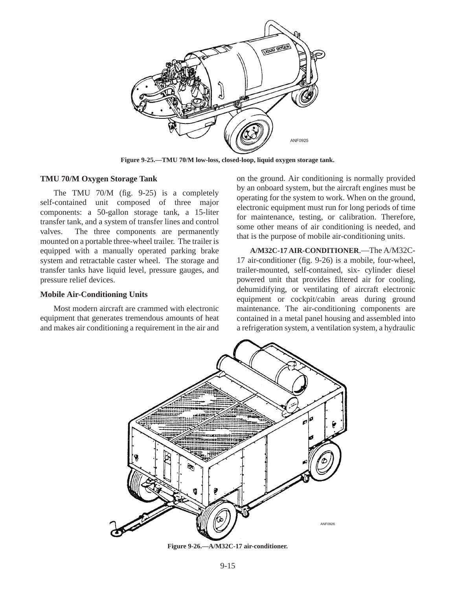

**Figure 9-25.—TMU 70/M low-loss, closed-loop, liquid oxygen storage tank.**

#### **TMU 70/M Oxygen Storage Tank**

The TMU 70/M (fig. 9-25) is a completely self-contained unit composed of three major components: a 50-gallon storage tank, a 15-liter transfer tank, and a system of transfer lines and control valves. The three components are permanently mounted on a portable three-wheel trailer. The trailer is equipped with a manually operated parking brake system and retractable caster wheel. The storage and transfer tanks have liquid level, pressure gauges, and pressure relief devices.

#### **Mobile Air-Conditioning Units**

Most modern aircraft are crammed with electronic equipment that generates tremendous amounts of heat and makes air conditioning a requirement in the air and

on the ground. Air conditioning is normally provided by an onboard system, but the aircraft engines must be operating for the system to work. When on the ground, electronic equipment must run for long periods of time for maintenance, testing, or calibration. Therefore, some other means of air conditioning is needed, and that is the purpose of mobile air-conditioning units.

**A/M32C-17 AIR-CONDITIONER**.—The A/M32C-17 air-conditioner (fig. 9-26) is a mobile, four-wheel, trailer-mounted, self-contained, six- cylinder diesel powered unit that provides filtered air for cooling, dehumidifying, or ventilating of aircraft electronic equipment or cockpit/cabin areas during ground maintenance. The air-conditioning components are contained in a metal panel housing and assembled into a refrigeration system, a ventilation system, a hydraulic



**Figure 9-26.—A/M32C-17 air-conditioner.**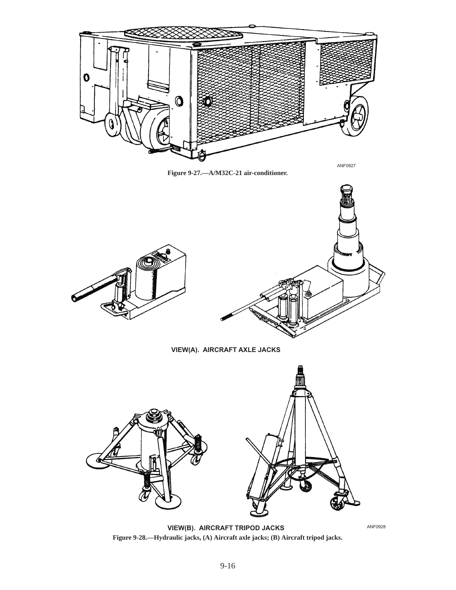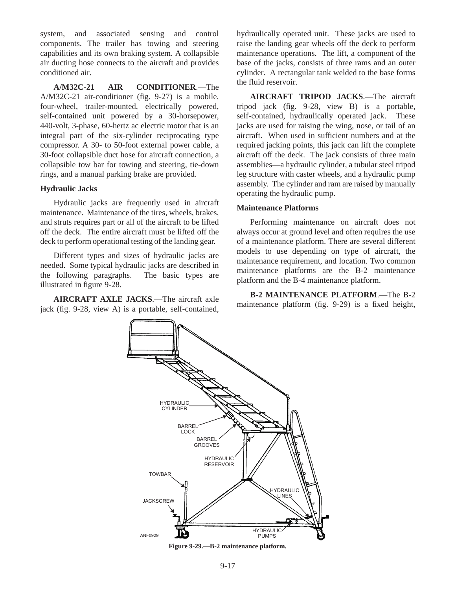system, and associated sensing and control components. The trailer has towing and steering capabilities and its own braking system. A collapsible air ducting hose connects to the aircraft and provides conditioned air.

**A/M32C-21 AIR CONDITIONER**.—The A/M32C-21 air-conditioner (fig. 9-27) is a mobile, four-wheel, trailer-mounted, electrically powered, self-contained unit powered by a 30-horsepower, 440-volt, 3-phase, 60-hertz ac electric motor that is an integral part of the six-cylinder reciprocating type compressor. A 30- to 50-foot external power cable, a 30-foot collapsible duct hose for aircraft connection, a collapsible tow bar for towing and steering, tie-down rings, and a manual parking brake are provided.

## **Hydraulic Jacks**

Hydraulic jacks are frequently used in aircraft maintenance. Maintenance of the tires, wheels, brakes, and struts requires part or all of the aircraft to be lifted off the deck. The entire aircraft must be lifted off the deck to perform operational testing of the landing gear.

Different types and sizes of hydraulic jacks are needed. Some typical hydraulic jacks are described in the following paragraphs. The basic types are illustrated in figure 9-28.

**AIRCRAFT AXLE JACKS**.—The aircraft axle jack (fig. 9-28, view A) is a portable, self-contained, hydraulically operated unit. These jacks are used to raise the landing gear wheels off the deck to perform maintenance operations. The lift, a component of the base of the jacks, consists of three rams and an outer cylinder. A rectangular tank welded to the base forms the fluid reservoir.

**AIRCRAFT TRIPOD JACKS**.—The aircraft tripod jack (fig. 9-28, view B) is a portable, self-contained, hydraulically operated jack. These jacks are used for raising the wing, nose, or tail of an aircraft. When used in sufficient numbers and at the required jacking points, this jack can lift the complete aircraft off the deck. The jack consists of three main assemblies—a hydraulic cylinder, a tubular steel tripod leg structure with caster wheels, and a hydraulic pump assembly. The cylinder and ram are raised by manually operating the hydraulic pump.

#### **Maintenance Platforms**

Performing maintenance on aircraft does not always occur at ground level and often requires the use of a maintenance platform. There are several different models to use depending on type of aircraft, the maintenance requirement, and location. Two common maintenance platforms are the B-2 maintenance platform and the B-4 maintenance platform.

**B-2 MAINTENANCE PLATFORM**.—The B-2 maintenance platform (fig. 9-29) is a fixed height,



**Figure 9-29.—B-2 maintenance platform.**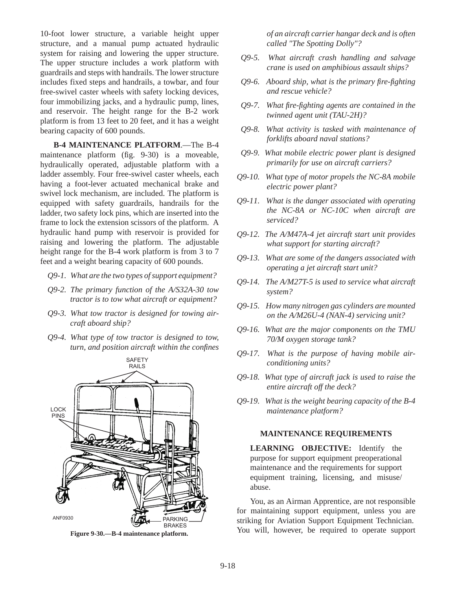10-foot lower structure, a variable height upper structure, and a manual pump actuated hydraulic system for raising and lowering the upper structure. The upper structure includes a work platform with guardrails and steps with handrails. The lower structure includes fixed steps and handrails, a towbar, and four free-swivel caster wheels with safety locking devices, four immobilizing jacks, and a hydraulic pump, lines, and reservoir. The height range for the B-2 work platform is from 13 feet to 20 feet, and it has a weight bearing capacity of 600 pounds.

**B-4 MAINTENANCE PLATFORM**.—The B-4 maintenance platform (fig. 9-30) is a moveable, hydraulically operated, adjustable platform with a ladder assembly. Four free-swivel caster wheels, each having a foot-lever actuated mechanical brake and swivel lock mechanism, are included. The platform is equipped with safety guardrails, handrails for the ladder, two safety lock pins, which are inserted into the frame to lock the extension scissors of the platform. A hydraulic hand pump with reservoir is provided for raising and lowering the platform. The adjustable height range for the B-4 work platform is from 3 to 7 feet and a weight bearing capacity of 600 pounds.

- *Q9-1. What are the two types of support equipment?*
- *Q9-2. The primary function of the A/S32A-30 tow tractor is to tow what aircraft or equipment?*
- *Q9-3. What tow tractor is designed for towing aircraft aboard ship?*
- *Q9-4. What type of tow tractor is designed to tow, turn, and position aircraft within the confines*



**Figure 9-30.—B-4 maintenance platform.**

*of an aircraft carrier hangar deck and is often called "The Spotting Dolly"?*

- *Q9-5. What aircraft crash handling and salvage crane is used on amphibious assault ships?*
- *Q9-6. Aboard ship, what is the primary fire-fighting and rescue vehicle?*
- *Q9-7. What fire-fighting agents are contained in the twinned agent unit (TAU-2H)?*
- *Q9-8. What activity is tasked with maintenance of forklifts aboard naval stations?*
- *Q9-9. What mobile electric power plant is designed primarily for use on aircraft carriers?*
- *Q9-10. What type of motor propels the NC-8A mobile electric power plant?*
- *Q9-11. What is the danger associated with operating the NC-8A or NC-10C when aircraft are serviced?*
- *Q9-12. The A/M47A-4 jet aircraft start unit provides what support for starting aircraft?*
- *Q9-13. What are some of the dangers associated with operating a jet aircraft start unit?*
- *Q9-14. The A/M27T-5 is used to service what aircraft system?*
- *Q9-15. How many nitrogen gas cylinders are mounted on the A/M26U-4 (NAN-4) servicing unit?*
- *Q9-16. What are the major components on the TMU 70/M oxygen storage tank?*
- *Q9-17. What is the purpose of having mobile airconditioning units?*
- *Q9-18. What type of aircraft jack is used to raise the entire aircraft off the deck?*
- *Q9-19. What is the weight bearing capacity of the B-4 maintenance platform?*

#### **MAINTENANCE REQUIREMENTS**

**LEARNING OBJECTIVE:** Identify the purpose for support equipment preoperational maintenance and the requirements for support equipment training, licensing, and misuse/ abuse.

You, as an Airman Apprentice, are not responsible for maintaining support equipment, unless you are striking for Aviation Support Equipment Technician. You will, however, be required to operate support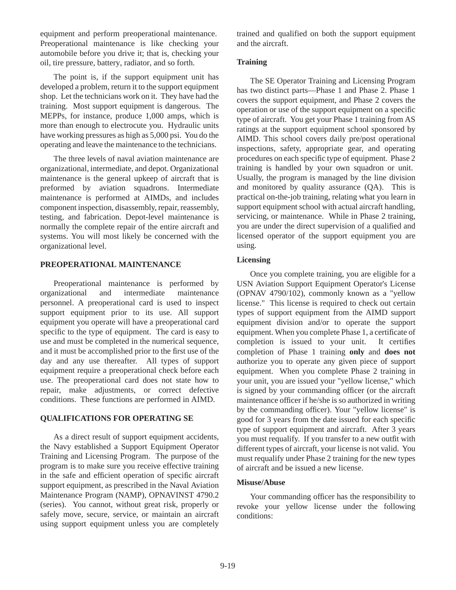equipment and perform preoperational maintenance. Preoperational maintenance is like checking your automobile before you drive it; that is, checking your oil, tire pressure, battery, radiator, and so forth.

The point is, if the support equipment unit has developed a problem, return it to the support equipment shop. Let the technicians work on it. They have had the training. Most support equipment is dangerous. The MEPPs, for instance, produce 1,000 amps, which is more than enough to electrocute you. Hydraulic units have working pressures as high as 5,000 psi. You do the operating and leave the maintenance to the technicians.

The three levels of naval aviation maintenance are organizational, intermediate, and depot. Organizational maintenance is the general upkeep of aircraft that is preformed by aviation squadrons. Intermediate maintenance is performed at AIMDs, and includes component inspection, disassembly, repair, reassembly, testing, and fabrication. Depot-level maintenance is normally the complete repair of the entire aircraft and systems. You will most likely be concerned with the organizational level.

## **PREOPERATIONAL MAINTENANCE**

Preoperational maintenance is performed by organizational and intermediate maintenance personnel. A preoperational card is used to inspect support equipment prior to its use. All support equipment you operate will have a preoperational card specific to the type of equipment. The card is easy to use and must be completed in the numerical sequence, and it must be accomplished prior to the first use of the day and any use thereafter. All types of support equipment require a preoperational check before each use. The preoperational card does not state how to repair, make adjustments, or correct defective conditions. These functions are performed in AIMD.

## **QUALIFICATIONS FOR OPERATING SE**

As a direct result of support equipment accidents, the Navy established a Support Equipment Operator Training and Licensing Program. The purpose of the program is to make sure you receive effective training in the safe and efficient operation of specific aircraft support equipment, as prescribed in the Naval Aviation Maintenance Program (NAMP), OPNAVINST 4790.2 (series). You cannot, without great risk, properly or safely move, secure, service, or maintain an aircraft using support equipment unless you are completely

trained and qualified on both the support equipment and the aircraft.

## **Training**

The SE Operator Training and Licensing Program has two distinct parts—Phase 1 and Phase 2. Phase 1 covers the support equipment, and Phase 2 covers the operation or use of the support equipment on a specific type of aircraft. You get your Phase 1 training from AS ratings at the support equipment school sponsored by AIMD. This school covers daily pre/post operational inspections, safety, appropriate gear, and operating procedures on each specific type of equipment. Phase 2 training is handled by your own squadron or unit. Usually, the program is managed by the line division and monitored by quality assurance (QA). This is practical on-the-job training, relating what you learn in support equipment school with actual aircraft handling, servicing, or maintenance. While in Phase 2 training, you are under the direct supervision of a qualified and licensed operator of the support equipment you are using.

## **Licensing**

Once you complete training, you are eligible for a USN Aviation Support Equipment Operator's License (OPNAV 4790/102), commonly known as a "yellow license." This license is required to check out certain types of support equipment from the AIMD support equipment division and/or to operate the support equipment. When you complete Phase 1, a certificate of completion is issued to your unit. It certifies completion of Phase 1 training **only** and **does not** authorize you to operate any given piece of support equipment. When you complete Phase 2 training in your unit, you are issued your "yellow license," which is signed by your commanding officer (or the aircraft maintenance officer if he/she is so authorized in writing by the commanding officer). Your "yellow license" is good for 3 years from the date issued for each specific type of support equipment and aircraft. After 3 years you must requalify. If you transfer to a new outfit with different types of aircraft, your license is not valid. You must requalify under Phase 2 training for the new types of aircraft and be issued a new license.

## **Misuse/Abuse**

Your commanding officer has the responsibility to revoke your yellow license under the following conditions: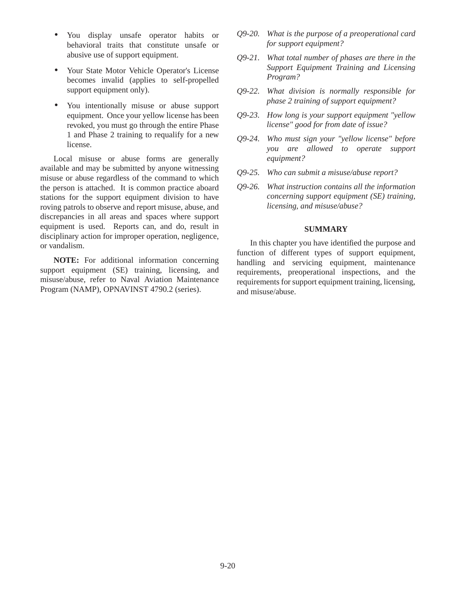- You display unsafe operator habits or behavioral traits that constitute unsafe or abusive use of support equipment.
- Your State Motor Vehicle Operator's License becomes invalid (applies to self-propelled support equipment only).
- You intentionally misuse or abuse support equipment. Once your yellow license has been revoked, you must go through the entire Phase 1 and Phase 2 training to requalify for a new license.

Local misuse or abuse forms are generally available and may be submitted by anyone witnessing misuse or abuse regardless of the command to which the person is attached. It is common practice aboard stations for the support equipment division to have roving patrols to observe and report misuse, abuse, and discrepancies in all areas and spaces where support equipment is used. Reports can, and do, result in disciplinary action for improper operation, negligence, or vandalism.

**NOTE:** For additional information concerning support equipment (SE) training, licensing, and misuse/abuse, refer to Naval Aviation Maintenance Program (NAMP), OPNAVINST 4790.2 (series).

- *Q9-20. What is the purpose of a preoperational card for support equipment?*
- *Q9-21. What total number of phases are there in the Support Equipment Training and Licensing Program?*
- *Q9-22. What division is normally responsible for phase 2 training of support equipment?*
- *Q9-23. How long is your support equipment "yellow license" good for from date of issue?*
- *Q9-24. Who must sign your "yellow license" before you are allowed to operate support equipment?*
- *Q9-25. Who can submit a misuse/abuse report?*
- *Q9-26. What instruction contains all the information concerning support equipment (SE) training, licensing, and misuse/abuse?*

## **SUMMARY**

In this chapter you have identified the purpose and function of different types of support equipment, handling and servicing equipment, maintenance requirements, preoperational inspections, and the requirements for support equipment training, licensing, and misuse/abuse.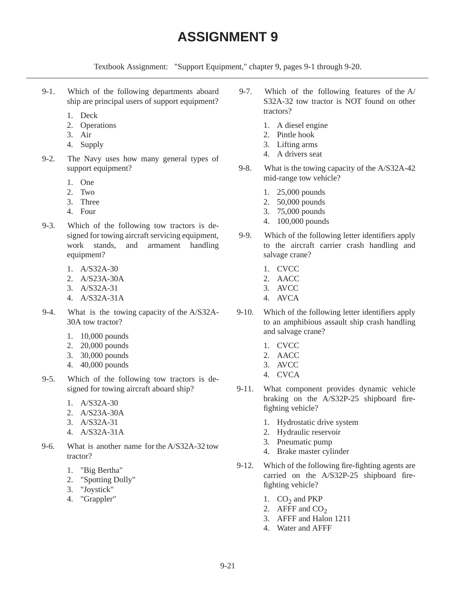# **ASSIGNMENT 9**

Textbook Assignment: "Support Equipment," chapter 9, pages 9-1 through 9-20.

- 9-1. Which of the following departments aboard ship are principal users of support equipment?
	- 1. Deck
	- 2. Operations
	- 3. Air
	- 4. Supply
- 9-2. The Navy uses how many general types of support equipment?
	- 1. One
	- 2. Two
	- 3. Three
	- 4. Four
- 9-3. Which of the following tow tractors is designed for towing aircraft servicing equipment, work stands, and armament handling equipment?
	- 1. A/S32A-30
	- 2. A/S23A-30A
	- 3. A/S32A-31
	- 4. A/S32A-31A
- 9-4. What is the towing capacity of the A/S32A-30A tow tractor?
	- 1. 10,000 pounds
	- 2. 20,000 pounds
	- 3. 30,000 pounds
	- 4. 40,000 pounds
- 9-5. Which of the following tow tractors is designed for towing aircraft aboard ship?
	- 1. A/S32A-30
	- 2. A/S23A-30A
	- 3. A/S32A-31
	- 4. A/S32A-31A
- 9-6. What is another name for the A/S32A-32 tow tractor?
	- 1. "Big Bertha"
	- 2. "Spotting Dolly"
	- 3. "Joystick"
	- 4. "Grappler"
- 9-7. Which of the following features of the A/ S32A-32 tow tractor is NOT found on other tractors?
	- 1. A diesel engine
	- 2. Pintle hook
	- 3. Lifting arms
	- 4. A drivers seat
- 9-8. What is the towing capacity of the A/S32A-42 mid-range tow vehicle?
	- 1. 25,000 pounds
	- 2. 50,000 pounds
	- 3. 75,000 pounds
	- 4. 100,000 pounds
- 9-9. Which of the following letter identifiers apply to the aircraft carrier crash handling and salvage crane?
	- 1. CVCC
	- 2. AACC
	- 3. AVCC
	- 4. AVCA
- 9-10. Which of the following letter identifiers apply to an amphibious assault ship crash handling and salvage crane?
	- 1. CVCC
	- 2. AACC
	- 3. AVCC
	- 4. CVCA
- 9-11. What component provides dynamic vehicle braking on the A/S32P-25 shipboard firefighting vehicle?
	- 1. Hydrostatic drive system
	- 2. Hydraulic reservoir
	- 3. Pneumatic pump
	- 4. Brake master cylinder
- 9-12. Which of the following fire-fighting agents are carried on the A/S32P-25 shipboard firefighting vehicle?
	- 1.  $CO<sub>2</sub>$  and PKP
	- 2. AFFF and  $CO<sub>2</sub>$
	- 3. AFFF and Halon 1211
	- 4. Water and AFFF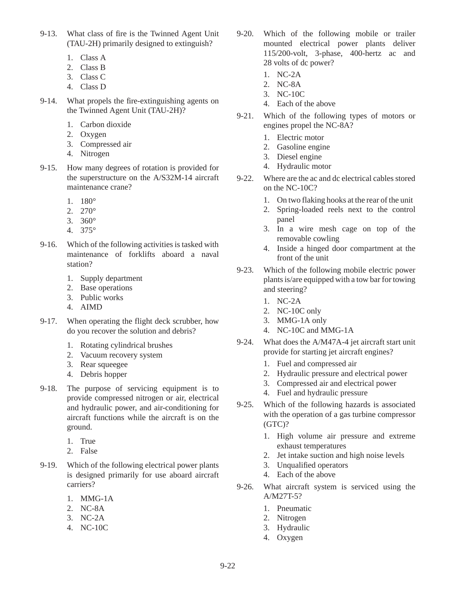- 9-13. What class of fire is the Twinned Agent Unit (TAU-2H) primarily designed to extinguish?
	- 1. Class A
	- 2. Class B
	- 3. Class C
	- 4. Class D
- 9-14. What propels the fire-extinguishing agents on the Twinned Agent Unit (TAU-2H)?
	- 1. Carbon dioxide
	- 2. Oxygen
	- 3. Compressed air
	- 4. Nitrogen
- 9-15. How many degrees of rotation is provided for the superstructure on the A/S32M-14 aircraft maintenance crane?
	- $1 180^{\circ}$
	- 2. 270°
	- 3. 360°
	- 4. 375°
- 9-16. Which of the following activities is tasked with maintenance of forklifts aboard a naval station?
	- 1. Supply department
	- 2. Base operations
	- 3. Public works
	- 4. AIMD
- 9-17. When operating the flight deck scrubber, how do you recover the solution and debris?
	- 1. Rotating cylindrical brushes
	- 2. Vacuum recovery system
	- 3. Rear squeegee
	- 4. Debris hopper
- 9-18. The purpose of servicing equipment is to provide compressed nitrogen or air, electrical and hydraulic power, and air-conditioning for aircraft functions while the aircraft is on the ground.
	- 1. True
	- 2. False
- 9-19. Which of the following electrical power plants is designed primarily for use aboard aircraft carriers?
	- 1. MMG-1A
	- 2. NC-8A
	- 3. NC-2A
	- 4. NC-10C
- 9-20. Which of the following mobile or trailer mounted electrical power plants deliver 115/200-volt, 3-phase, 400-hertz ac and 28 volts of dc power?
	- 1. NC-2A
	- 2. NC-8A
	- 3. NC-10C
	- 4. Each of the above
- 9-21. Which of the following types of motors or engines propel the NC-8A?
	- 1. Electric motor
	- 2. Gasoline engine
	- 3. Diesel engine
	- 4. Hydraulic motor
- 9-22. Where are the ac and dc electrical cables stored on the NC-10C?
	- 1. On two flaking hooks at the rear of the unit
	- 2. Spring-loaded reels next to the control panel
	- 3. In a wire mesh cage on top of the removable cowling
	- 4. Inside a hinged door compartment at the front of the unit
- 9-23. Which of the following mobile electric power plants is/are equipped with a tow bar for towing and steering?
	- 1. NC-2A
	- 2. NC-10C only
	- 3. MMG-1A only
	- 4. NC-10C and MMG-1A
- 9-24. What does the A/M47A-4 jet aircraft start unit provide for starting jet aircraft engines?
	- 1. Fuel and compressed air
	- 2. Hydraulic pressure and electrical power
	- 3. Compressed air and electrical power
	- 4. Fuel and hydraulic pressure
- 9-25. Which of the following hazards is associated with the operation of a gas turbine compressor (GTC)?
	- 1. High volume air pressure and extreme exhaust temperatures
	- 2. Jet intake suction and high noise levels
	- 3. Unqualified operators
	- 4. Each of the above
- 9-26. What aircraft system is serviced using the A/M27T-5?
	- 1. Pneumatic
	- 2. Nitrogen
	- 3. Hydraulic
	- 4. Oxygen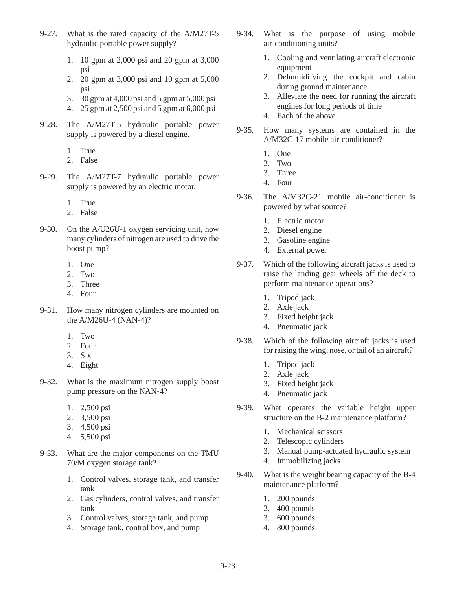- 9-27. What is the rated capacity of the A/M27T-5 hydraulic portable power supply?
	- 1. 10 gpm at 2,000 psi and 20 gpm at 3,000 psi
	- 2. 20 gpm at 3,000 psi and 10 gpm at 5,000 psi
	- 3. 30 gpm at 4,000 psi and 5 gpm at 5,000 psi
	- 4. 25 gpm at 2,500 psi and 5 gpm at 6,000 psi
- 9-28. The A/M27T-5 hydraulic portable power supply is powered by a diesel engine.
	- 1. True
	- 2. False
- 9-29. The A/M27T-7 hydraulic portable power supply is powered by an electric motor.
	- 1. True
	- 2. False
- 9-30. On the A/U26U-1 oxygen servicing unit, how many cylinders of nitrogen are used to drive the boost pump?
	- 1. One
	- 2. Two
	- 3. Three
	- 4. Four
- 9-31. How many nitrogen cylinders are mounted on the A/M26U-4 (NAN-4)?
	- 1. Two
	- 2. Four
	- 3. Six
	- 4. Eight
- 9-32. What is the maximum nitrogen supply boost pump pressure on the NAN-4?
	- 1. 2,500 psi
	- 2. 3,500 psi
	- 3. 4,500 psi
	- 4. 5,500 psi
- 9-33. What are the major components on the TMU 70/M oxygen storage tank?
	- 1. Control valves, storage tank, and transfer tank
	- 2. Gas cylinders, control valves, and transfer tank
	- 3. Control valves, storage tank, and pump
	- 4. Storage tank, control box, and pump
- 9-34. What is the purpose of using mobile air-conditioning units?
	- 1. Cooling and ventilating aircraft electronic equipment
	- 2. Dehumidifying the cockpit and cabin during ground maintenance
	- 3. Alleviate the need for running the aircraft engines for long periods of time
	- 4. Each of the above
- 9-35. How many systems are contained in the A/M32C-17 mobile air-conditioner?
	- 1. One
	- 2. Two
	- 3. Three
	- 4. Four
- 9-36. The A/M32C-21 mobile air-conditioner is powered by what source?
	- 1. Electric motor
	- 2. Diesel engine
	- 3. Gasoline engine
	- 4. External power
- 9-37. Which of the following aircraft jacks is used to raise the landing gear wheels off the deck to perform maintenance operations?
	- 1. Tripod jack
	- 2. Axle jack
	- 3. Fixed height jack
	- 4. Pneumatic jack
- 9-38. Which of the following aircraft jacks is used for raising the wing, nose, or tail of an aircraft?
	- 1. Tripod jack
	- 2. Axle jack
	- 3. Fixed height jack
	- 4. Pneumatic jack
- 9-39. What operates the variable height upper structure on the B-2 maintenance platform?
	- 1. Mechanical scissors
	- 2. Telescopic cylinders
	- 3. Manual pump-actuated hydraulic system
	- 4. Immobilizing jacks
- 9-40. What is the weight bearing capacity of the B-4 maintenance platform?
	- 1. 200 pounds
	- 2. 400 pounds
	- 3. 600 pounds
	- 4. 800 pounds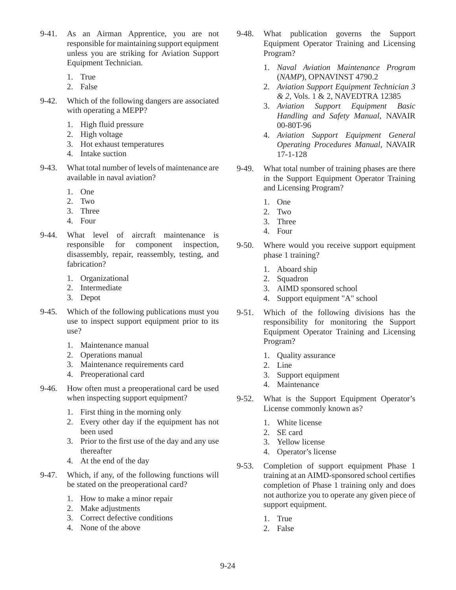- 9-41. As an Airman Apprentice, you are not responsible for maintaining support equipment unless you are striking for Aviation Support Equipment Technician.
	- 1. True
	- 2. False
- 9-42. Which of the following dangers are associated with operating a MEPP?
	- 1. High fluid pressure
	- 2. High voltage
	- 3. Hot exhaust temperatures
	- 4. Intake suction
- 9-43. What total number of levels of maintenance are available in naval aviation?
	- 1. One
	- 2. Two
	- 3. Three
	- 4. Four
- 9-44. What level of aircraft maintenance is responsible for component inspection, disassembly, repair, reassembly, testing, and fabrication?
	- 1. Organizational
	- 2. Intermediate
	- 3. Depot
- 9-45. Which of the following publications must you use to inspect support equipment prior to its use?
	- 1. Maintenance manual
	- 2. Operations manual
	- 3. Maintenance requirements card
	- 4. Preoperational card
- 9-46. How often must a preoperational card be used when inspecting support equipment?
	- 1. First thing in the morning only
	- 2. Every other day if the equipment has not been used
	- 3. Prior to the first use of the day and any use thereafter
	- 4. At the end of the day
- 9-47. Which, if any, of the following functions will be stated on the preoperational card?
	- 1. How to make a minor repair
	- 2. Make adjustments
	- 3. Correct defective conditions
	- 4. None of the above
- 9-48. What publication governs the Support Equipment Operator Training and Licensing Program?
	- 1. *Naval Aviation Maintenance Program* (*NAMP*), OPNAVINST 4790.2
	- 2. *Aviation Support Equipment Technician 3 & 2,* Vols. 1 & 2, NAVEDTRA 12385
	- 3. *Aviation Support Equipment Basic Handling and Safety Manual*, NAVAIR 00-80T-96
	- 4. *Aviation Support Equipment General Operating Procedures Manual*, NAVAIR 17-1-128
- 9-49. What total number of training phases are there in the Support Equipment Operator Training and Licensing Program?
	- 1. One
	- 2. Two
	- 3. Three
	- 4. Four
- 9-50. Where would you receive support equipment phase 1 training?
	- 1. Aboard ship
	- 2. Squadron
	- 3. AIMD sponsored school
	- 4. Support equipment "A" school
- 9-51. Which of the following divisions has the responsibility for monitoring the Support Equipment Operator Training and Licensing Program?
	- 1. Quality assurance
	- 2. Line
	- 3. Support equipment
	- 4. Maintenance
- 9-52. What is the Support Equipment Operator's License commonly known as?
	- 1. White license
	- 2. SE card
	- 3. Yellow license
	- 4. Operator's license
- 9-53. Completion of support equipment Phase 1 training at an AIMD-sponsored school certifies completion of Phase 1 training only and does not authorize you to operate any given piece of support equipment.
	- 1. True
	- 2. False